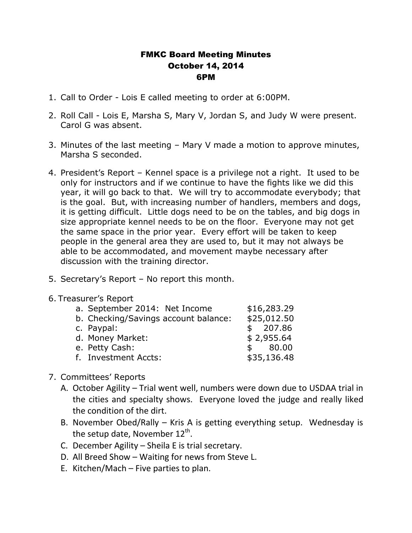## FMKC Board Meeting Minutes October 14, 2014 6PM

- 1. Call to Order Lois E called meeting to order at 6:00PM.
- 2. Roll Call Lois E, Marsha S, Mary V, Jordan S, and Judy W were present. Carol G was absent.
- 3. Minutes of the last meeting Mary V made a motion to approve minutes, Marsha S seconded.
- 4. President's Report Kennel space is a privilege not a right. It used to be only for instructors and if we continue to have the fights like we did this year, it will go back to that. We will try to accommodate everybody; that is the goal. But, with increasing number of handlers, members and dogs, it is getting difficult. Little dogs need to be on the tables, and big dogs in size appropriate kennel needs to be on the floor. Everyone may not get the same space in the prior year. Every effort will be taken to keep people in the general area they are used to, but it may not always be able to be accommodated, and movement maybe necessary after discussion with the training director.
- 5. Secretary's Report No report this month.
- 6. Treasurer's Report

| a. September 2014: Net Income        | \$16,283.29 |
|--------------------------------------|-------------|
| b. Checking/Savings account balance: | \$25,012.50 |
| c. Paypal:                           | \$207.86    |
| d. Money Market:                     | \$2,955.64  |
| e. Petty Cash:                       | \$80.00     |
| f. Investment Accts:                 | \$35,136.48 |

- 7. Committees' Reports
	- A. October Agility Trial went well, numbers were down due to USDAA trial in the cities and specialty shows. Everyone loved the judge and really liked the condition of the dirt.
	- B. November Obed/Rally Kris A is getting everything setup. Wednesday is the setup date, November  $12^{\text{th}}$ .
	- C. December Agility Sheila E is trial secretary.
	- D. All Breed Show Waiting for news from Steve L.
	- E. Kitchen/Mach Five parties to plan.